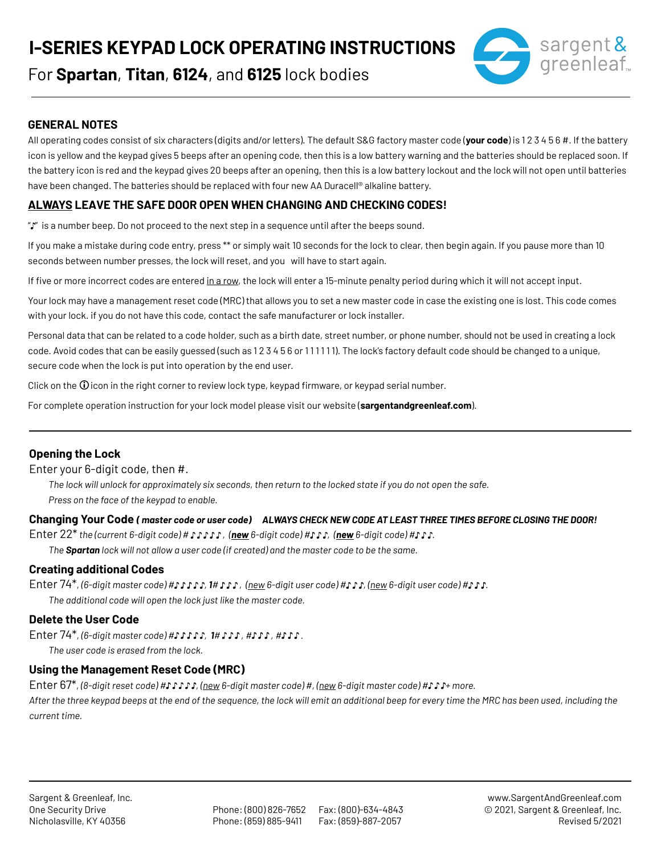**I-SERIES KEYPAD LOCK OPERATING INSTRUCTIONS**



For **Spartan**, **Titan**, **6124**, and **6125** lock bodies

## **GENERAL NOTES**

All operating codes consist of six characters (digits and/or letters). The default S&G factory master code (**your code**) is 1 2 3 4 5 6 #. If the battery icon is yellow and the keypad gives 5 beeps after an opening code, then this is a low battery warning and the batteries should be replaced soon. If the battery icon is red and the keypad gives 20 beeps after an opening, then this is a low battery lockout and the lock will not open until batteries have been changed. The batteries should be replaced with four new AA Duracell® alkaline battery.

# **ALWAYS LEAVE THE SAFE DOOR OPEN WHEN CHANGING AND CHECKING CODES!**

"" is a number beep. Do not proceed to the next step in a sequence until after the beeps sound.

If you make a mistake during code entry, press \*\* or simply wait 10 seconds for the lock to clear, then begin again. If you pause more than 10 seconds between number presses, the lock will reset, and you will have to start again.

If five or more incorrect codes are entered in a row, the lock will enter a 15-minute penalty period during which it will not accept input.

Your lock may have a management reset code (MRC) that allows you to set a new master code in case the existing one is lost. This code comes with your lock. if you do not have this code, contact the safe manufacturer or lock installer.

Personal data that can be related to a code holder, such as a birth date, street number, or phone number, should not be used in creating a lock code. Avoid codes that can be easily guessed (such as 123456 or 111111). The lock's factory default code should be changed to a unique, secure code when the lock is put into operation by the end user.

Click on the  $\overline{0}$  icon in the right corner to review lock type, keypad firmware, or keypad serial number.

For complete operation instruction for your lock model please visit our website (**sargentandgreenleaf.com**).

### **Opening the Lock**

Enter your 6-digit code, then #.

*The lock will unlock for approximately six seconds, then return to the locked state if you do not open the safe. Press on the face of the keypad to enable.*

### **Changing Your Code** *( master code or user code) ALWAYS CHECK NEW CODE AT LEAST THREE TIMES BEFORE CLOSING THE DOOR!*

Enter 22<sup>\*</sup> the (current 6-digit code) #  $J J J J$ , (new 6-digit code) # $J J$ , (new 6-digit code) # $J J$ .

*The Spartan lock will not allow a user code (if created) and the master code to be the same.*

### **Creating additional Codes**

Enter 74\*, (6-digit master code) # $\int$  *ii*  $\int$  *1#*  $\int$  *i*, (new 6-digit user code) # $\int$  *f*  $\int$  *n f*  $\int$  *f*  $\int$  *f*  $\int$  *f*  $\int$  *f*  $\int$  *f*  $\int$  *f*  $\int$  *f*  $\int$  *f*  $\int$  *f*  $\int$  *f*  $\int$  *f*  $\int$  *The additional code will open the lock just like the master code.*

### **Delete the User Code**

Enter 74\*, (6-digit master code) # $\int$ *n*  $\int$ *n*,  $\int$ *n*,  $\int$ *n*,  $\int$ *n*,  $\int$ *n*,  $\int$ *n*.

*The user code is erased from the lock.*

### **Using the Management Reset Code (MRC)**

Enter 67\*, *(8-digit reset code) # , (new 6-digit master code) #, (new 6-digit master code) # + more.*

*After the three keypad beeps at the end of the sequence, the lock will emit an additional beep for every time the MRC has been used, including the current time.*

Phone: (800) 826-7652 Fax: (800)-634-4843 Phone: (859) 885-9411 Fax: (859)-887-2057